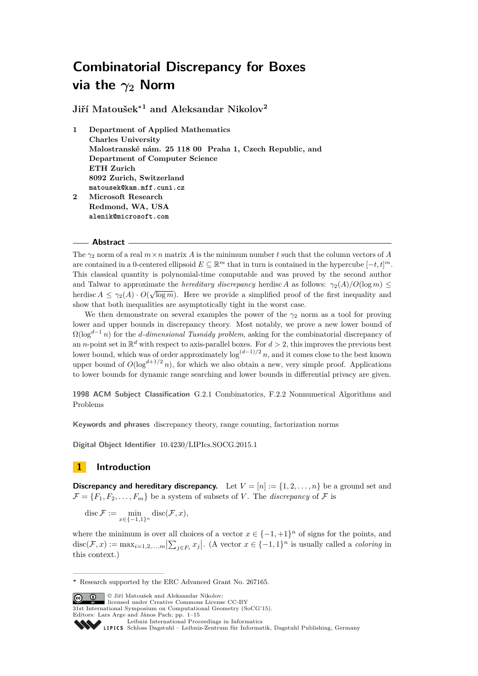**Jiří Matoušek<sup>∗</sup><sup>1</sup> and Aleksandar Nikolov<sup>2</sup>**

**1 Department of Applied Mathematics Charles University Malostranské nám. 25 118 00 Praha 1, Czech Republic, and Department of Computer Science ETH Zurich 8092 Zurich, Switzerland matousek@kam.mff.cuni.cz 2 Microsoft Research Redmond, WA, USA**

**alenik@microsoft.com**

## **Abstract**

The  $\gamma_2$  norm of a real  $m \times n$  matrix *A* is the minimum number *t* such that the column vectors of *A* are contained in a 0-centered ellipsoid  $E \subseteq \mathbb{R}^m$  that in turn is contained in the hypercube  $[-t, t]^m$ . This classical quantity is polynomial-time computable and was proved by the second author and Talwar to approximate the *hereditary discrepancy* herdisc *A* as follows:  $\gamma_2(A)/O(\log m) \leq$ herdisc  $A \leq \gamma_2(A) \cdot O(\sqrt{\log m})$ . Here we provide a simplified proof of the first inequality and show that both inequalities are asymptotically tight in the worst case.

We then demonstrate on several examples the power of the  $\gamma_2$  norm as a tool for proving lower and upper bounds in discrepancy theory. Most notably, we prove a new lower bound of  $\Omega(\log^{d-1} n)$  for the *d*-dimensional Tusnády problem, asking for the combinatorial discrepancy of an *n*-point set in  $\mathbb{R}^d$  with respect to axis-parallel boxes. For  $d > 2$ , this improves the previous best lower bound, which was of order approximately  $\log^{(d-1)/2} n$ , and it comes close to the best known upper bound of  $O(\log^{d+1/2} n)$ , for which we also obtain a new, very simple proof. Applications to lower bounds for dynamic range searching and lower bounds in differential privacy are given.

**1998 ACM Subject Classification** G.2.1 Combinatorics, F.2.2 Nonnumerical Algorithms and Problems

**Keywords and phrases** discrepancy theory, range counting, factorization norms

**Digital Object Identifier** [10.4230/LIPIcs.SOCG.2015.1](http://dx.doi.org/10.4230/LIPIcs.SOCG.2015.1)

# **1 Introduction**

**Discrepancy and hereditary discrepancy.** Let  $V = [n] := \{1, 2, \ldots, n\}$  be a ground set and  $\mathcal{F} = \{F_1, F_2, \ldots, F_m\}$  be a system of subsets of *V*. The *discrepancy* of  $\mathcal{F}$  is

disc  $\mathcal{F} := \min_{x \in \{-1,1\}^n} \text{disc}(\mathcal{F}, x)$ ,

where the minimum is over all choices of a vector  $x \in \{-1, +1\}^n$  of signs for the points, and  $\text{disc}(\mathcal{F}, x) := \max_{i=1,2,\dots,m} \left| \sum_{j \in F_i} x_j \right|$ . (A vector  $x \in \{-1,1\}^n$  is usually called a *coloring* in this context.)

**C**  $\bullet$  Jiří Matoušek and Aleksandar Nikolov:

licensed under Creative Commons License CC-BY 31st International Symposium on Computational Geometry (SoCG'15).

Editors: Lars Arge and János Pach; pp. 1[–15](#page-14-0)

**<sup>∗</sup>** Research supported by the ERC Advanced Grant No. 267165.

[Leibniz International Proceedings in Informatics](http://www.dagstuhl.de/lipics/)

[Schloss Dagstuhl – Leibniz-Zentrum für Informatik, Dagstuhl Publishing, Germany](http://www.dagstuhl.de)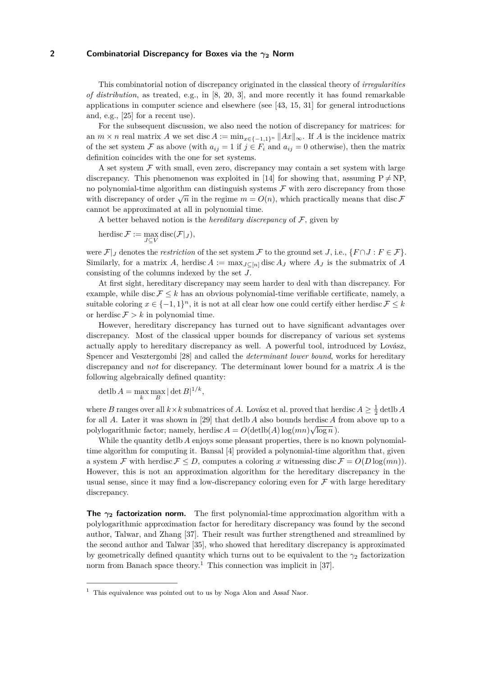This combinatorial notion of discrepancy originated in the classical theory of *irregularities of distribution*, as treated, e.g., in [\[8,](#page-13-0) [20,](#page-13-1) [3\]](#page-12-0), and more recently it has found remarkable applications in computer science and elsewhere (see [\[43,](#page-14-1) [15,](#page-13-2) [31\]](#page-14-2) for general introductions and, e.g., [\[25\]](#page-13-3) for a recent use).

For the subsequent discussion, we also need the notion of discrepancy for matrices: for an  $m \times n$  real matrix *A* we set disc  $A := \min_{x \in \{-1,1\}^n} \|Ax\|_{\infty}$ . If *A* is the incidence matrix of the set system F as above (with  $a_{ij} = 1$  if  $j \in F_i$  and  $a_{ij} = 0$  otherwise), then the matrix definition coincides with the one for set systems.

A set system  $\mathcal F$  with small, even zero, discrepancy may contain a set system with large discrepancy. This phenomenon was exploited in [\[14\]](#page-13-4) for showing that, assuming  $P \neq NP$ , no polynomial-time algorithm can distinguish systems  $\mathcal F$  with zero discrepancy from those with discrepancy of order  $\sqrt{n}$  in the regime  $m = O(n)$ , which practically means that disc F cannot be approximated at all in polynomial time.

A better behaved notion is the *hereditary discrepancy* of  $F$ , given by

 $\text{herdisc}\,\mathcal{F} := \max_{J\subseteq V} \text{disc}(\mathcal{F}|_J),$ 

were  $\mathcal{F}|_J$  denotes the *restriction* of the set system  $\mathcal{F}$  to the ground set *J*, i.e.,  $\{F \cap J : F \in \mathcal{F}\}\$ . Similarly, for a matrix *A*, herdisc  $A := \max_{J \subset [n]} \text{disc } A_J$  where  $A_J$  is the submatrix of *A* consisting of the columns indexed by the set *J*.

At first sight, hereditary discrepancy may seem harder to deal with than discrepancy. For example, while disc  $\mathcal{F} \leq k$  has an obvious polynomial-time verifiable certificate, namely, a suitable coloring  $x \in \{-1,1\}^n$ , it is not at all clear how one could certify either herdisc  $\mathcal{F} \leq k$ or herdisc  $\mathcal{F} > k$  in polynomial time.

However, hereditary discrepancy has turned out to have significant advantages over discrepancy. Most of the classical upper bounds for discrepancy of various set systems actually apply to hereditary discrepancy as well. A powerful tool, introduced by Lovász, Spencer and Vesztergombi [\[28\]](#page-13-5) and called the *determinant lower bound*, works for hereditary discrepancy and *not* for discrepancy. The determinant lower bound for a matrix *A* is the following algebraically defined quantity:

detlb  $A = \max_{k} \max_{B} |\det B|^{1/k}$ ,

where *B* ranges over all  $k \times k$  submatrices of *A*. Lovász et al. proved that herdisc  $A \geq \frac{1}{2}$  detlb *A* for all *A*. Later it was shown in [\[29\]](#page-13-6) that detlb *A* also bounds herdisc *A* from above up to a polylogarithmic factor; namely, herdisc  $A = O(\text{detib}(A) \log(mn) \sqrt{\log n})$ .

While the quantity detlb *A* enjoys some pleasant properties, there is no known polynomialtime algorithm for computing it. Bansal [\[4\]](#page-12-1) provided a polynomial-time algorithm that, given a system F with herdisc  $F \leq D$ , computes a coloring x witnessing disc  $F = O(D \log(mn))$ . However, this is not an approximation algorithm for the hereditary discrepancy in the usual sense, since it may find a low-discrepancy coloring even for  $\mathcal F$  with large hereditary discrepancy.

**The**  $\gamma_2$  **factorization norm.** The first polynomial-time approximation algorithm with a polylogarithmic approximation factor for hereditary discrepancy was found by the second author, Talwar, and Zhang [\[37\]](#page-14-3). Their result was further strengthened and streamlined by the second author and Talwar [\[35\]](#page-14-4), who showed that hereditary discrepancy is approximated by geometrically defined quantity which turns out to be equivalent to the  $\gamma_2$  factorization norm from Banach space theory.<sup>[1](#page-1-0)</sup> This connection was implicit in [\[37\]](#page-14-3).

<span id="page-1-0"></span> $1$  This equivalence was pointed out to us by Noga Alon and Assaf Naor.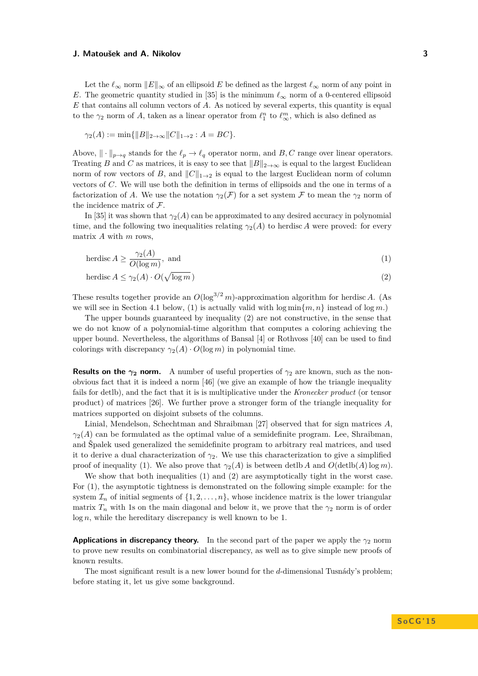Let the  $\ell_{\infty}$  norm  $||E||_{\infty}$  of an ellipsoid *E* be defined as the largest  $\ell_{\infty}$  norm of any point in *E*. The geometric quantity studied in [\[35\]](#page-14-4) is the minimum  $\ell_{\infty}$  norm of a 0-centered ellipsoid *E* that contains all column vectors of *A*. As noticed by several experts, this quantity is equal to the  $\gamma_2$  norm of *A*, taken as a linear operator from  $\ell_1^n$  to  $\ell_{\infty}^m$ , which is also defined as

$$
\gamma_2(A) := \min\{\|B\|_{2\to\infty} \|C\|_{1\to 2} : A = BC\}.
$$

Above,  $\|\cdot\|_{p\to q}$  stands for the  $\ell_p \to \ell_q$  operator norm, and *B*, *C* range over linear operators. Treating *B* and *C* as matrices, it is easy to see that  $||B||_{2\to\infty}$  is equal to the largest Euclidean norm of row vectors of *B*, and  $||C||_{1\rightarrow 2}$  is equal to the largest Euclidean norm of column vectors of *C*. We will use both the definition in terms of ellipsoids and the one in terms of a factorization of *A*. We use the notation  $\gamma_2(\mathcal{F})$  for a set system F to mean the  $\gamma_2$  norm of the incidence matrix of F.

In [\[35\]](#page-14-4) it was shown that  $\gamma_2(A)$  can be approximated to any desired accuracy in polynomial time, and the following two inequalities relating  $\gamma_2(A)$  to herdisc *A* were proved: for every matrix *A* with *m* rows,

<span id="page-2-1"></span><span id="page-2-0"></span>herdisc 
$$
A \ge \frac{\gamma_2(A)}{O(\log m)}
$$
, and (1)

$$
\text{herdisc } A \le \gamma_2(A) \cdot O(\sqrt{\log m}) \tag{2}
$$

These results together provide an  $O(\log^{3/2} m)$ -approximation algorithm for herdisc *A*. (As we will see in Section [4.1](#page-8-0) below, [\(1\)](#page-2-0) is actually valid with  $\log \min\{m, n\}$  instead of  $\log m$ .)

The upper bounds guaranteed by inequality [\(2\)](#page-2-1) are not constructive, in the sense that we do not know of a polynomial-time algorithm that computes a coloring achieving the upper bound. Nevertheless, the algorithms of Bansal [\[4\]](#page-12-1) or Rothvoss [\[40\]](#page-14-5) can be used to find colorings with discrepancy  $\gamma_2(A) \cdot O(\log m)$  in polynomial time.

**Results on the**  $\gamma_2$  **norm.** A number of useful properties of  $\gamma_2$  are known, such as the nonobvious fact that it is indeed a norm [\[46\]](#page-14-6) (we give an example of how the triangle inequality fails for detlb), and the fact that it is is multiplicative under the *Kronecker product* (or tensor product) of matrices [\[26\]](#page-13-7). We further prove a stronger form of the triangle inequality for matrices supported on disjoint subsets of the columns.

Linial, Mendelson, Schechtman and Shraibman [\[27\]](#page-13-8) observed that for sign matrices *A*,  $\gamma_2(A)$  can be formulated as the optimal value of a semidefinite program. Lee, Shraibman, and Špalek used generalized the semidefinite program to arbitrary real matrices, and used it to derive a dual characterization of  $\gamma_2$ . We use this characterization to give a simplified proof of inequality [\(1\)](#page-2-0). We also prove that  $\gamma_2(A)$  is between detlb *A* and  $O(\text{detib}(A)\log m)$ .

We show that both inequalities [\(1\)](#page-2-0) and [\(2\)](#page-2-1) are asymptotically tight in the worst case. For [\(1\)](#page-2-0), the asymptotic tightness is demonstrated on the following simple example: for the system  $\mathcal{I}_n$  of initial segments of  $\{1, 2, \ldots, n\}$ , whose incidence matrix is the lower triangular matrix  $T_n$  with 1s on the main diagonal and below it, we prove that the  $\gamma_2$  norm is of order log *n*, while the hereditary discrepancy is well known to be 1.

**Applications in discrepancy theory.** In the second part of the paper we apply the  $\gamma_2$  norm to prove new results on combinatorial discrepancy, as well as to give simple new proofs of known results.

The most significant result is a new lower bound for the *d*-dimensional Tusnády's problem; before stating it, let us give some background.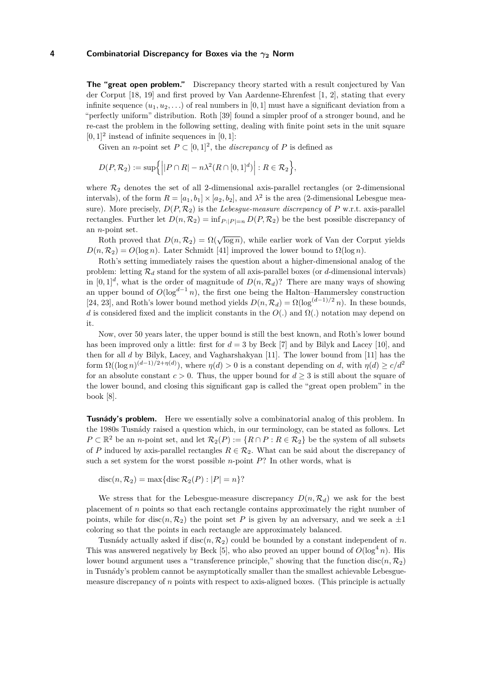**The "great open problem."** Discrepancy theory started with a result conjectured by Van der Corput [\[18,](#page-13-9) [19\]](#page-13-10) and first proved by Van Aardenne-Ehrenfest [\[1,](#page-12-2) [2\]](#page-12-3), stating that every infinite sequence  $(u_1, u_2, \ldots)$  of real numbers in [0, 1] must have a significant deviation from a "perfectly uniform" distribution. Roth [\[39\]](#page-14-7) found a simpler proof of a stronger bound, and he re-cast the problem in the following setting, dealing with finite point sets in the unit square  $[0, 1]^2$  instead of infinite sequences in  $[0, 1]$ :

Given an *n*-point set  $P \subset [0,1]^2$ , the *discrepancy* of *P* is defined as

$$
D(P, \mathcal{R}_2) := \sup \left\{ \left| P \cap R \right| - n \lambda^2 (R \cap [0, 1]^d) \right| : R \in \mathcal{R}_2 \right\},\
$$

where  $\mathcal{R}_2$  denotes the set of all 2-dimensional axis-parallel rectangles (or 2-dimensional intervals), of the form  $R = [a_1, b_1] \times [a_2, b_2]$ , and  $\lambda^2$  is the area (2-dimensional Lebesgue measure). More precisely,  $D(P, \mathcal{R}_2)$  is the *Lebesgue-measure discrepancy* of P w.r.t. axis-parallel rectangles. Further let  $D(n, \mathcal{R}_2) = \inf_{P : |P| = n} D(P, \mathcal{R}_2)$  be the best possible discrepancy of an *n*-point set.

Roth proved that  $D(n, R_2) = \Omega(\sqrt{\log n})$ , while earlier work of Van der Corput yields  $D(n, \mathcal{R}_2) = O(\log n)$ . Later Schmidt [\[41\]](#page-14-8) improved the lower bound to  $\Omega(\log n)$ .

Roth's setting immediately raises the question about a higher-dimensional analog of the problem: letting  $\mathcal{R}_d$  stand for the system of all axis-parallel boxes (or *d*-dimensional intervals) in  $[0,1]^d$ , what is the order of magnitude of  $D(n,\mathcal{R}_d)$ ? There are many ways of showing an upper bound of  $O(\log^{d-1} n)$ , the first one being the Halton–Hammersley construction [\[24,](#page-13-11) [23\]](#page-13-12), and Roth's lower bound method yields  $D(n, \mathcal{R}_d) = \Omega(\log^{(d-1)/2} n)$ . In these bounds, *d* is considered fixed and the implicit constants in the  $O(.)$  and  $\Omega(.)$  notation may depend on it.

Now, over 50 years later, the upper bound is still the best known, and Roth's lower bound has been improved only a little: first for  $d = 3$  by Beck [\[7\]](#page-13-13) and by Bilyk and Lacey [\[10\]](#page-13-14), and then for all *d* by Bilyk, Lacey, and Vagharshakyan [\[11\]](#page-13-15). The lower bound from [\[11\]](#page-13-15) has the form  $\Omega((\log n)^{(d-1)/2+\eta(d)})$ , where  $\eta(d) > 0$  is a constant depending on *d*, with  $\eta(d) \ge c/d^2$ for an absolute constant  $c > 0$ . Thus, the upper bound for  $d > 3$  is still about the square of the lower bound, and closing this significant gap is called the "great open problem" in the book [\[8\]](#page-13-0).

**Tusnády's problem.** Here we essentially solve a combinatorial analog of this problem. In the 1980s Tusnády raised a question which, in our terminology, can be stated as follows. Let  $P \subset \mathbb{R}^2$  be an *n*-point set, and let  $\mathcal{R}_2(P) := \{ R \cap P : R \in \mathcal{R}_2 \}$  be the system of all subsets of *P* induced by axis-parallel rectangles  $R \in \mathcal{R}_2$ . What can be said about the discrepancy of such a set system for the worst possible *n*-point *P*? In other words, what is

 $\text{disc}(n, \mathcal{R}_2) = \max{\{\text{disc } \mathcal{R}_2(P) : |P| = n\}}$ ?

We stress that for the Lebesgue-measure discrepancy  $D(n, \mathcal{R}_d)$  we ask for the best placement of *n* points so that each rectangle contains approximately the right number of points, while for disc( $n, R_2$ ) the point set P is given by an adversary, and we seek a  $\pm 1$ coloring so that the points in each rectangle are approximately balanced.

Tusnády actually asked if disc( $n, \mathcal{R}_2$ ) could be bounded by a constant independent of n. This was answered negatively by Beck [\[5\]](#page-12-4), who also proved an upper bound of  $O(\log^4 n)$ . His lower bound argument uses a "transference principle," showing that the function disc $(n, \mathcal{R}_2)$ in Tusnády's problem cannot be asymptotically smaller than the smallest achievable Lebesguemeasure discrepancy of *n* points with respect to axis-aligned boxes. (This principle is actually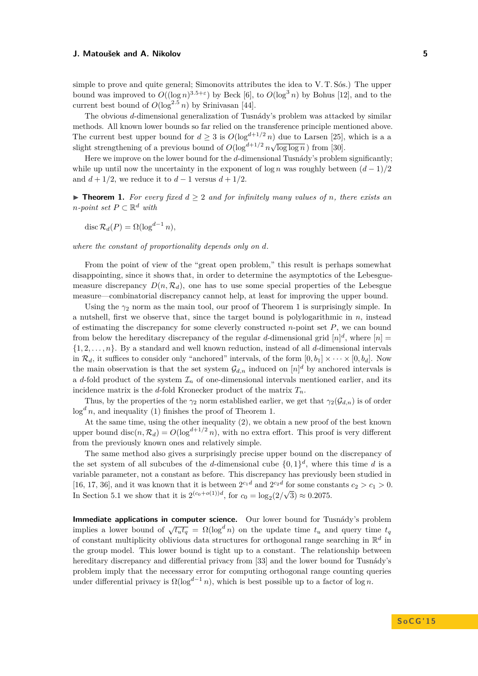simple to prove and quite general; Simonovits attributes the idea to V. T. Sós.) The upper bound was improved to  $O((\log n)^{3.5+\epsilon})$  by Beck [\[6\]](#page-12-5), to  $O(\log^3 n)$  by Bohus [\[12\]](#page-13-16), and to the current best bound of  $O(\log^{2.5} n)$  by Srinivasan [\[44\]](#page-14-9).

The obvious *d*-dimensional generalization of Tusnády's problem was attacked by similar methods. All known lower bounds so far relied on the transference principle mentioned above. The current best upper bound for  $d > 3$  is  $O(\log^{d+1/2} n)$  due to Larsen [\[25\]](#page-13-3), which is a a slight strengthening of a previous bound of  $O(\log^{d+1/2} n \sqrt{\log \log n})$  from [\[30\]](#page-13-17).

Here we improve on the lower bound for the *d*-dimensional Tusnády's problem significantly; while up until now the uncertainty in the exponent of  $\log n$  was roughly between  $(d-1)/2$ and  $d + 1/2$ , we reduce it to  $d - 1$  versus  $d + 1/2$ .

<span id="page-4-0"></span>▶ **Theorem 1.** *For every fixed*  $d \geq 2$  *and for infinitely many values of n, there exists an n*<sup>*-point set*  $P$  ⊂  $\mathbb{R}^d$  *with*</sup>

$$
\operatorname{disc} \mathcal{R}_d(P) = \Omega(\log^{d-1} n),
$$

*where the constant of proportionality depends only on d.*

From the point of view of the "great open problem," this result is perhaps somewhat disappointing, since it shows that, in order to determine the asymptotics of the Lebesguemeasure discrepancy  $D(n, \mathcal{R}_d)$ , one has to use some special properties of the Lebesgue measure—combinatorial discrepancy cannot help, at least for improving the upper bound.

Using the  $\gamma_2$  norm as the main tool, our proof of Theorem [1](#page-4-0) is surprisingly simple. In a nutshell, first we observe that, since the target bound is polylogarithmic in *n*, instead of estimating the discrepancy for some cleverly constructed *n*-point set *P*, we can bound from below the hereditary discrepancy of the regular *d*-dimensional grid  $[n]^d$ , where  $[n] =$ {1*,* 2*, . . . , n*}. By a standard and well known reduction, instead of all *d*-dimensional intervals in  $\mathcal{R}_d$ , it suffices to consider only "anchored" intervals, of the form  $[0, b_1] \times \cdots \times [0, b_d]$ . Now the main observation is that the set system  $\mathcal{G}_{d,n}$  induced on  $[n]^d$  by anchored intervals is a *d*-fold product of the system  $\mathcal{I}_n$  of one-dimensional intervals mentioned earlier, and its incidence matrix is the *d*-fold Kronecker product of the matrix  $T_n$ .

Thus, by the properties of the  $\gamma_2$  norm established earlier, we get that  $\gamma_2(\mathcal{G}_{d,n})$  is of order  $\log^d n$ , and inequality [\(1\)](#page-2-0) finishes the proof of Theorem [1.](#page-4-0)

At the same time, using the other inequality [\(2\)](#page-2-1), we obtain a new proof of the best known upper bound disc( $n, \mathcal{R}_d$ ) =  $O(\log^{d+1/2} n)$ , with no extra effort. This proof is very different from the previously known ones and relatively simple.

The same method also gives a surprisingly precise upper bound on the discrepancy of the set system of all subcubes of the *d*-dimensional cube  $\{0,1\}^d$ , where this time *d* is a variable parameter, not a constant as before. This discrepancy has previously been studied in [\[16,](#page-13-18) [17,](#page-13-19) [36\]](#page-14-10), and it was known that it is between  $2^{c_1 d}$  and  $2^{c_2 d}$  for some constants  $c_2 > c_1 > 0$ . In Section [5.1](#page-10-0) we show that it is  $2^{(c_0+o(1))d}$ , for  $c_0 = \log_2(2)$ √  $(3) \approx 0.2075.$ 

**Immediate applications in computer science.** Our lower bound for Tusnády's problem implies a lower bound of  $\sqrt{t_u t_q} = \Omega(\log^d n)$  on the update time  $t_u$  and query time  $t_q$ of constant multiplicity oblivious data structures for orthogonal range searching in  $\mathbb{R}^d$  in the group model. This lower bound is tight up to a constant. The relationship between hereditary discrepancy and differential privacy from [\[33\]](#page-14-11) and the lower bound for Tusnády's problem imply that the necessary error for computing orthogonal range counting queries under differential privacy is  $\Omega(\log^{d-1} n)$ , which is best possible up to a factor of  $\log n$ .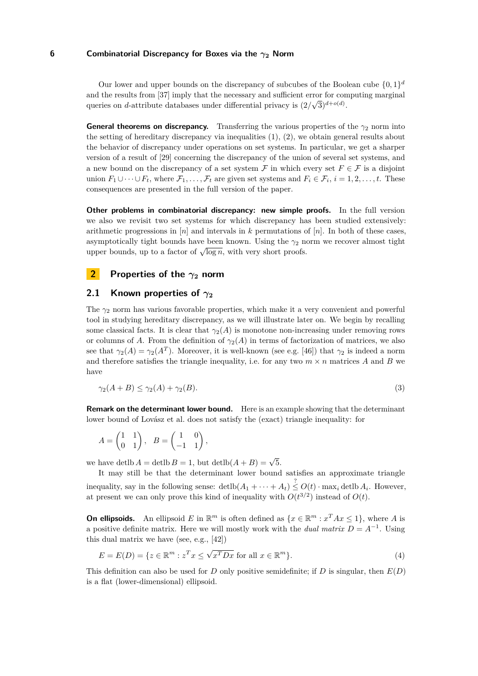Our lower and upper bounds on the discrepancy of subcubes of the Boolean cube  $\{0,1\}^d$ and the results from [\[37\]](#page-14-3) imply that the necessary and sufficient error for computing marginal queries on *d*-attribute databases under differential privacy is  $(2/\sqrt{3})^{d+o(d)}$ .

**General theorems on discrepancy.** Transferring the various properties of the  $\gamma_2$  norm into the setting of hereditary discrepancy via inequalities  $(1), (2)$  $(1), (2)$  $(1), (2)$ , we obtain general results about the behavior of discrepancy under operations on set systems. In particular, we get a sharper version of a result of [\[29\]](#page-13-6) concerning the discrepancy of the union of several set systems, and a new bound on the discrepancy of a set system  $\mathcal F$  in which every set  $F \in \mathcal F$  is a disjoint union  $F_1 \cup \cdots \cup F_t$ , where  $\mathcal{F}_1, \ldots, \mathcal{F}_t$  are given set systems and  $F_i \in \mathcal{F}_i$ ,  $i = 1, 2, \ldots, t$ . These consequences are presented in the full version of the paper.

**Other problems in combinatorial discrepancy: new simple proofs.** In the full version we also we revisit two set systems for which discrepancy has been studied extensively: arithmetic progressions in [*n*] and intervals in *k* permutations of [*n*]. In both of these cases, asymptotically tight bounds have been known. Using the  $\gamma_2$  norm we recover almost tight asymptotically tight bounds have been known. Using the  $\frac{1}{2}$  if upper bounds, up to a factor of  $\sqrt{\log n}$ , with very short proofs.

# **2 Properties of the** *γ***<sup>2</sup> norm**

# **2.1 Known properties of**  $γ_2$

The  $\gamma_2$  norm has various favorable properties, which make it a very convenient and powerful tool in studying hereditary discrepancy, as we will illustrate later on. We begin by recalling some classical facts. It is clear that  $\gamma_2(A)$  is monotone non-increasing under removing rows or columns of *A*. From the definition of  $\gamma_2(A)$  in terms of factorization of matrices, we also see that  $\gamma_2(A) = \gamma_2(A^T)$ . Moreover, it is well-known (see e.g. [\[46\]](#page-14-6)) that  $\gamma_2$  is indeed a norm and therefore satisfies the triangle inequality, i.e. for any two  $m \times n$  matrices *A* and *B* we have

$$
\gamma_2(A+B) \le \gamma_2(A) + \gamma_2(B). \tag{3}
$$

**Remark on the determinant lower bound.** Here is an example showing that the determinant lower bound of Lovász et al. does not satisfy the (exact) triangle inequality: for

$$
A = \begin{pmatrix} 1 & 1 \\ 0 & 1 \end{pmatrix}, \quad B = \begin{pmatrix} 1 & 0 \\ -1 & 1 \end{pmatrix},
$$

we have detlb  $A = \text{detib } B = 1$ , but  $\text{detib}(A + B) = \sqrt{5}$ .

It may still be that the determinant lower bound satisfies an approximate triangle inequality, say in the following sense:  $\det(b(A_1 + \cdots + A_t) \leq O(t) \cdot \max_i \det(b A_i)$ . However, at present we can only prove this kind of inequality with  $O(t^{3/2})$  instead of  $O(t)$ .

**On ellipsoids.** An ellipsoid *E* in  $\mathbb{R}^m$  is often defined as  $\{x \in \mathbb{R}^m : x^T A x \le 1\}$ , where *A* is a positive definite matrix. Here we will mostly work with the *dual matrix*  $D = A^{-1}$ . Using this dual matrix we have (see, e.g., [\[42\]](#page-14-12))

<span id="page-5-0"></span>
$$
E = E(D) = \{ z \in \mathbb{R}^m : z^T x \le \sqrt{x^T D x} \text{ for all } x \in \mathbb{R}^m \}. \tag{4}
$$

This definition can also be used for *D* only positive semidefinite; if *D* is singular, then *E*(*D*) is a flat (lower-dimensional) ellipsoid.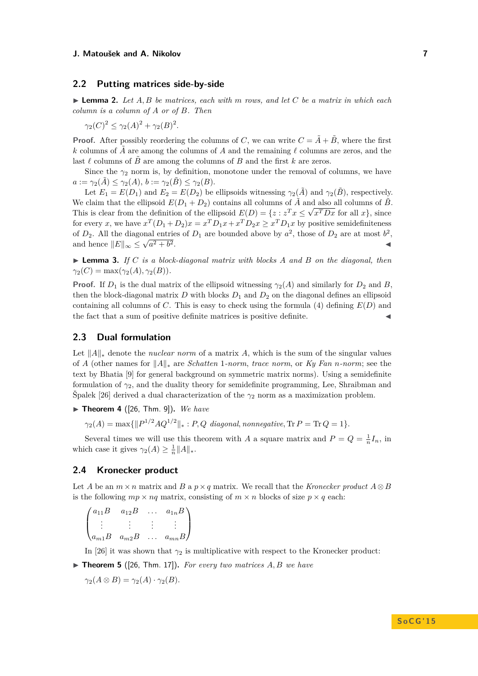# **2.2 Putting matrices side-by-side**

 $\blacktriangleright$  **Lemma 2.** Let  $A, B$  be matrices, each with  $m$  rows, and let  $C$  be a matrix in which each *column is a column of A or of B. Then*

 $\gamma_2(C)^2 \leq \gamma_2(A)^2 + \gamma_2(B)^2$ .

**Proof.** After possibly reordering the columns of *C*, we can write  $C = \tilde{A} + \tilde{B}$ , where the first  $k$  columns of *A* are among the columns of *A* and the remaining  $\ell$  columns are zeros, and the last  $\ell$  columns of  $B$  are among the columns of  $B$  and the first  $k$  are zeros.

Since the  $\gamma_2$  norm is, by definition, monotone under the removal of columns, we have  $a := \gamma_2(A) \leq \gamma_2(A), b := \gamma_2(B) \leq \gamma_2(B).$ 

Let  $E_1 = E(D_1)$  and  $E_2 = E(D_2)$  be ellipsoids witnessing  $\gamma_2(\tilde{A})$  and  $\gamma_2(\tilde{B})$ , respectively. We claim that the ellipsoid  $E(D_1 + D_2)$  contains all columns of  $\tilde{A}$  and also all columns of  $\tilde{B}$ . This is clear from the definition of the ellipsoid  $E(D) = \{z : z^T x \leq \sqrt{x^T D x} \text{ for all } x\}$ , since for every *x*, we have  $x^T(D_1 + D_2)x = x^T D_1 x + x^T D_2 x \ge x^T D_1 x$  by positive semidefiniteness of  $D_2$ . All the diagonal entries of  $D_1$  are bounded above by  $a^2$ , those of  $D_2$  are at most  $b^2$ , and hence  $||E||_{\infty} \leq \sqrt{a^2 + b}$  $\overline{2}$ .

 $\blacktriangleright$  **Lemma 3.** *If C is a block-diagonal matrix with blocks A and B on the diagonal, then*  $\gamma_2(C) = \max(\gamma_2(A), \gamma_2(B)).$ 

**Proof.** If  $D_1$  is the dual matrix of the ellipsoid witnessing  $\gamma_2(A)$  and similarly for  $D_2$  and  $B$ , then the block-diagonal matrix  $D$  with blocks  $D_1$  and  $D_2$  on the diagonal defines an ellipsoid containing all columns of *C*. This is easy to check using the formula [\(4\)](#page-5-0) defining  $E(D)$  and the fact that a sum of positive definite matrices is positive definite.

## **2.3 Dual formulation**

Let  $||A||_*$  denote the *nuclear norm* of a matrix A, which is the sum of the singular values of *A* (other names for  $||A||_*$  are *Schatten* 1*-norm*, *trace norm*, or *Ky Fan n-norm*; see the text by Bhatia [\[9\]](#page-13-20) for general background on symmetric matrix norms). Using a semidefinite formulation of  $\gamma_2$ , and the duality theory for semidefinite programming, Lee, Shraibman and  $\text{Špalek}$  [\[26\]](#page-13-7) derived a dual characterization of the  $\gamma_2$  norm as a maximization problem.

<span id="page-6-0"></span> $\blacktriangleright$  **Theorem 4** ([\[26,](#page-13-7) Thm. 9]). We have

 $\gamma_2(A) = \max\{\|P^{1/2}AQ^{1/2}\|_* : P, Q \ \text{ diagonal, nonnegative}, \text{Tr } P = \text{Tr } Q = 1\}.$ 

Several times we will use this theorem with *A* a square matrix and  $P = Q = \frac{1}{n}I_n$ , in which case it gives  $\gamma_2(A) \geq \frac{1}{n} ||A||_*$ .

# **2.4 Kronecker product**

Let *A* be an  $m \times n$  matrix and *B* a  $p \times q$  matrix. We recall that the *Kronecker product*  $A \otimes B$ is the following  $mp \times nq$  matrix, consisting of  $m \times n$  blocks of size  $p \times q$  each:

$$
\begin{pmatrix} a_{11}B & a_{12}B & \dots & a_{1n}B \\ \vdots & \vdots & \vdots & \vdots \\ a_{m1}B & a_{m2}B & \dots & a_{mn}B \end{pmatrix}
$$

In [\[26\]](#page-13-7) it was shown that  $\gamma_2$  is multiplicative with respect to the Kronecker product:

<span id="page-6-1"></span> $\triangleright$  **Theorem 5** ([\[26,](#page-13-7) Thm. 17]). For every two matrices  $A, B$  we have

 $\gamma_2(A \otimes B) = \gamma_2(A) \cdot \gamma_2(B)$ .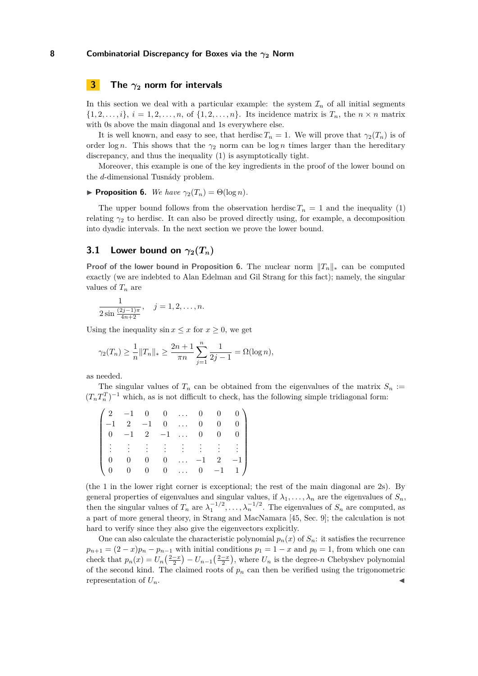# <span id="page-7-1"></span>**3 The** *γ***<sup>2</sup> norm for intervals**

In this section we deal with a particular example: the system  $\mathcal{I}_n$  of all initial segments  $\{1, 2, \ldots, i\}, i = 1, 2, \ldots, n$ , of  $\{1, 2, \ldots, n\}$ . Its incidence matrix is  $T_n$ , the  $n \times n$  matrix with 0s above the main diagonal and 1s everywhere else.

It is well known, and easy to see, that herdisc  $T_n = 1$ . We will prove that  $\gamma_2(T_n)$  is of order log *n*. This shows that the  $\gamma_2$  norm can be log *n* times larger than the hereditary discrepancy, and thus the inequality [\(1\)](#page-2-0) is asymptotically tight.

Moreover, this example is one of the key ingredients in the proof of the lower bound on the *d*-dimensional Tusnády problem.

# <span id="page-7-0"></span>**Proposition 6.** *We have*  $\gamma_2(T_n) = \Theta(\log n)$ *.*

The upper bound follows from the observation herdisc  $T_n = 1$  and the inequality [\(1\)](#page-2-0) relating *γ*<sup>2</sup> to herdisc. It can also be proved directly using, for example, a decomposition into dyadic intervals. In the next section we prove the lower bound.

# **3.1** Lower bound on  $\gamma_2(T_n)$

**Proof of the lower bound in Proposition [6.](#page-7-0)** The nuclear norm  $||T_n||_*$  can be computed exactly (we are indebted to Alan Edelman and Gil Strang for this fact); namely, the singular values of *T<sup>n</sup>* are

$$
\frac{1}{2\sin\frac{(2j-1)\pi}{4n+2}}, \quad j=1,2,\ldots,n.
$$

Using the inequality  $\sin x \leq x$  for  $x \geq 0$ , we get

$$
\gamma_2(T_n) \ge \frac{1}{n} ||T_n||_* \ge \frac{2n+1}{\pi n} \sum_{j=1}^n \frac{1}{2j-1} = \Omega(\log n),
$$

as needed.

The singular values of  $T_n$  can be obtained from the eigenvalues of the matrix  $S_n$  :=  $(T_n T_n^T)^{-1}$  which, as is not difficult to check, has the following simple tridiagonal form:

|              |                                                    |                |  |               |                | $\begin{pmatrix} 2 & -1 & 0 & 0 & \dots & 0 & 0 & 0 \end{pmatrix}$                                                                            |
|--------------|----------------------------------------------------|----------------|--|---------------|----------------|-----------------------------------------------------------------------------------------------------------------------------------------------|
|              | $-1 \quad 2 \quad -1 \quad 0 \quad \ldots \quad 0$ |                |  |               | $\mathbf{0}$   | 0 <sub>1</sub>                                                                                                                                |
|              | $0 \quad -1 \quad 2 \quad -1 \quad \dots \quad 0$  |                |  |               | $\overline{0}$ | 0 <sub>1</sub>                                                                                                                                |
|              |                                                    |                |  |               |                | $\frac{1}{2}$ , $\frac{1}{2}$ , $\frac{1}{2}$ , $\frac{1}{2}$ , $\frac{1}{2}$ , $\frac{1}{2}$ , $\frac{1}{2}$ , $\frac{1}{2}$ , $\frac{1}{2}$ |
|              | $\overline{\mathbf{0}}$                            | $\overline{0}$ |  | $0 \ldots -1$ |                | $2 \quad -1$                                                                                                                                  |
| $\sqrt{0}$ 0 |                                                    |                |  |               |                | $0 \quad 0 \quad \dots \quad 0 \quad -1 \quad 1$                                                                                              |

(the 1 in the lower right corner is exceptional; the rest of the main diagonal are 2s). By general properties of eigenvalues and singular values, if  $\lambda_1, \ldots, \lambda_n$  are the eigenvalues of  $S_n$ , then the singular values of  $T_n$  are  $\lambda_1^{-1/2}, \ldots, \lambda_n^{-1/2}$ . The eigenvalues of  $S_n$  are computed, as a part of more general theory, in Strang and MacNamara [\[45,](#page-14-13) Sec. 9]; the calculation is not hard to verify since they also give the eigenvectors explicitly.

One can also calculate the characteristic polynomial  $p_n(x)$  of  $S_n$ : it satisfies the recurrence  $p_{n+1} = (2-x)p_n - p_{n-1}$  with initial conditions  $p_1 = 1 - x$  and  $p_0 = 1$ , from which one can check that  $p_n(x) = U_n\left(\frac{2-x}{2}\right) - U_{n-1}\left(\frac{2-x}{2}\right)$ , where  $U_n$  is the degree-*n* Chebyshev polynomial of the second kind. The claimed roots of  $p_n$  can then be verified using the trigonometric representation of  $U_n$ .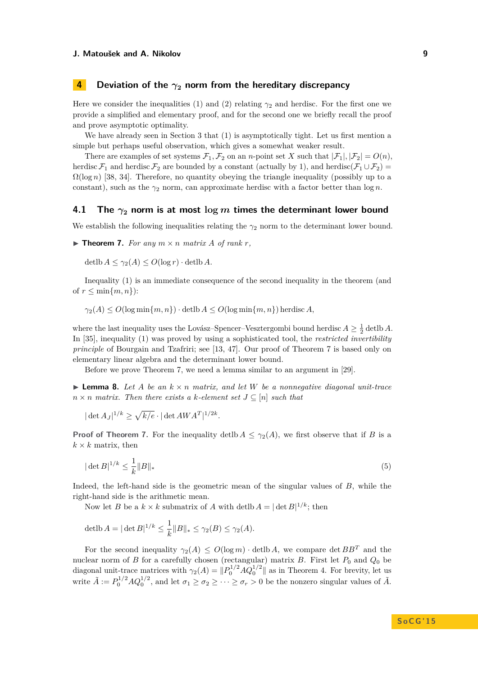# **4 Deviation of the** *γ***<sup>2</sup> norm from the hereditary discrepancy**

Here we consider the inequalities [\(1\)](#page-2-0) and [\(2\)](#page-2-1) relating  $\gamma_2$  and herdisc. For the first one we provide a simplified and elementary proof, and for the second one we briefly recall the proof and prove asymptotic optimality.

We have already seen in Section [3](#page-7-1) that  $(1)$  is asymptotically tight. Let us first mention a simple but perhaps useful observation, which gives a somewhat weaker result.

There are examples of set systems  $\mathcal{F}_1, \mathcal{F}_2$  on an *n*-point set *X* such that  $|\mathcal{F}_1|, |\mathcal{F}_2| = O(n)$ . herdisc  $\mathcal{F}_1$  and herdisc  $\mathcal{F}_2$  are bounded by a constant (actually by 1), and herdisc( $\mathcal{F}_1 \cup \mathcal{F}_2$ ) =  $\Omega(\log n)$  [\[38,](#page-14-14) [34\]](#page-14-15). Therefore, no quantity obeying the triangle inequality (possibly up to a constant), such as the *γ*<sup>2</sup> norm, can approximate herdisc with a factor better than log *n*.

## <span id="page-8-0"></span>**4.1** The  $\gamma_2$  norm is at most  $\log m$  times the determinant lower bound

We establish the following inequalities relating the  $\gamma_2$  norm to the determinant lower bound.

<span id="page-8-1"></span> $\blacktriangleright$  **Theorem 7.** For any  $m \times n$  matrix A of rank r,

 $\det(b A \leq \gamma_2(A) \leq O(\log r) \cdot \det(b A)$ .

Inequality [\(1\)](#page-2-0) is an immediate consequence of the second inequality in the theorem (and of  $r \leq \min\{m, n\}$ :

 $\gamma_2(A) \leq O(\log \min\{m, n\}) \cdot \text{detib } A \leq O(\log \min\{m, n\})$  herdisc *A*,

where the last inequality uses the Lovász–Spencer–Vesztergombi bound herdisc  $A \geq \frac{1}{2}$  detlb A. In [\[35\]](#page-14-4), inequality [\(1\)](#page-2-0) was proved by using a sophisticated tool, the *restricted invertibility principle* of Bourgain and Tzafriri; see [\[13,](#page-13-21) [47\]](#page-14-16). Our proof of Theorem [7](#page-8-1) is based only on elementary linear algebra and the determinant lower bound.

Before we prove Theorem [7,](#page-8-1) we need a lemma similar to an argument in [\[29\]](#page-13-6).

<span id="page-8-2"></span> $\triangleright$  **Lemma 8.** Let A be an  $k \times n$  matrix, and let W be a nonnegative diagonal unit-trace  $n \times n$  *matrix. Then there exists a*  $k$ *-element set*  $J \subseteq [n]$  *such that* 

$$
|\det A_J|^{1/k} \ge \sqrt{k/e} \cdot |\det AWA^T|^{1/2k}.
$$

**Proof of Theorem [7.](#page-8-1)** For the inequality detlb  $A \leq \gamma_2(A)$ , we first observe that if *B* is a  $k \times k$  matrix, then

$$
|\det B|^{1/k} \le \frac{1}{k} \|B\|_*\tag{5}
$$

Indeed, the left-hand side is the geometric mean of the singular values of *B*, while the right-hand side is the arithmetic mean.

Now let *B* be a  $k \times k$  submatrix of *A* with detlb  $A = |\det B|^{1/k}$ ; then

$$
\operatorname{det}\nolimits bA = |\operatorname{det}\nolimits B|^{1/k} \le \frac{1}{k} \|B\|_* \le \gamma_2(B) \le \gamma_2(A).
$$

For the second inequality  $\gamma_2(A) \leq O(\log m) \cdot \det(bA)$ , we compare  $\det BB^T$  and the nuclear norm of *B* for a carefully chosen (rectangular) matrix *B*. First let  $P_0$  and  $Q_0$  be diagonal unit-trace matrices with  $\gamma_2(A) = ||P_0^{1/2} A Q_0^{1/2}||$  as in Theorem [4.](#page-6-0) For brevity, let us write  $\tilde{A} := P_0^{1/2} A Q_0^{1/2}$ , and let  $\sigma_1 \ge \sigma_2 \ge \cdots \ge \sigma_r > 0$  be the nonzero singular values of  $\tilde{A}$ .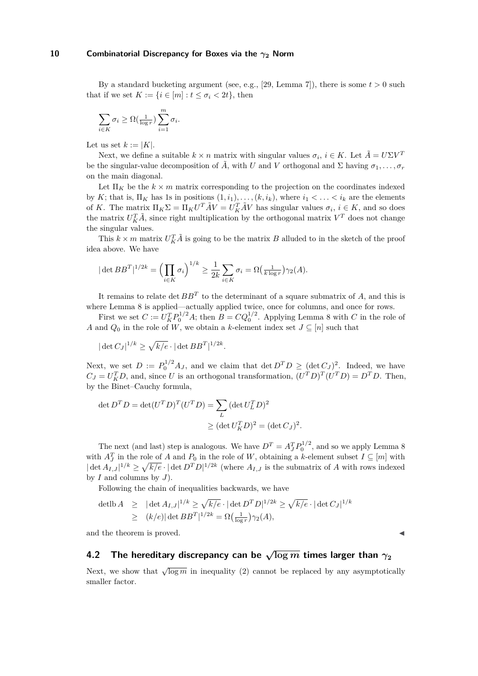By a standard bucketing argument (see, e.g., [\[29,](#page-13-6) Lemma 7]), there is some  $t > 0$  such that if we set  $K := \{i \in [m] : t \leq \sigma_i < 2t\}$ , then

$$
\sum_{i \in K} \sigma_i \ge \Omega(\frac{1}{\log r}) \sum_{i=1}^m \sigma_i.
$$

Let us set  $k := |K|$ .

Next, we define a suitable  $k \times n$  matrix with singular values  $\sigma_i$ ,  $i \in K$ . Let  $\tilde{A} = U \Sigma V^T$ be the singular-value decomposition of  $\tilde{A}$ , with *U* and *V* orthogonal and  $\Sigma$  having  $\sigma_1, \ldots, \sigma_r$ on the main diagonal.

Let  $\Pi_K$  be the  $k \times m$  matrix corresponding to the projection on the coordinates indexed by *K*; that is,  $\Pi_K$  has 1s in positions  $(1, i_1), \ldots, (k, i_k)$ , where  $i_1 < \ldots < i_k$  are the elements of *K*. The matrix  $\Pi_K \Sigma = \Pi_K U^T \tilde{A} V = U_K^T \tilde{A} V$  has singular values  $\sigma_i$ ,  $i \in K$ , and so does the matrix  $U_K^T \tilde{A}$ , since right multiplication by the orthogonal matrix  $V^T$  does not change the singular values.

This  $k \times m$  matrix  $U_K^T \tilde{A}$  is going to be the matrix *B* alluded to in the sketch of the proof idea above. We have

$$
|\det BB^T|^{1/2k} = \left(\prod_{i \in K} \sigma_i\right)^{1/k} \ge \frac{1}{2k} \sum_{i \in K} \sigma_i = \Omega\left(\frac{1}{k \log r}\right) \gamma_2(A).
$$

It remains to relate det *BB<sup>T</sup>* to the determinant of a square submatrix of *A*, and this is where Lemma [8](#page-8-2) is applied—actually applied twice, once for columns, and once for rows.

First we set  $C := U_K^T P_0^{1/2} A$ ; then  $B = C Q_0^{1/2}$ . Applying Lemma [8](#page-8-2) with  $C$  in the role of *A* and  $Q_0$  in the role of *W*, we obtain a *k*-element index set  $J \subseteq [n]$  such that

$$
|\det C_J|^{1/k} \ge \sqrt{k/e} \cdot |\det BB^T|^{1/2k}.
$$

Next, we set  $D := P_0^{1/2} A_J$ , and we claim that det  $D^T D \geq (\det C_J)^2$ . Indeed, we have  $C_J = U_K^T D$ , and, since *U* is an orthogonal transformation,  $(U^T D)^T (U^T D) = D^T D$ . Then, by the Binet–Cauchy formula,

$$
\det D^T D = \det (U^T D)^T (U^T D) = \sum_L (\det U_L^T D)^2
$$
  
 
$$
\geq (\det U_K^T D)^2 = (\det C_J)^2.
$$

The next (and last) step is analogous. We have  $D^T = A_J^T P_0^{1/2}$ , and so we apply Lemma [8](#page-8-2) with  $A_J^T$  in the role of *A* and  $P_0$  in the role of *W*, obtaining a *k*-element subset  $I \subseteq [m]$  with  $|\det A_{I,J}|^{1/k} \geq \sqrt{k/e} \cdot |\det D^T D|^{1/2k}$  (where  $A_{I,J}$  is the submatrix of *A* with rows indexed by *I* and columns by *J*).

Following the chain of inequalities backwards, we have

$$
\begin{array}{rcl}\n\text{det1b } A & \geq & |\det A_{I,J}|^{1/k} \geq \sqrt{k/e} \cdot |\det D^T D|^{1/2k} \geq \sqrt{k/e} \cdot |\det C_J|^{1/k} \\
& \geq & (k/e)| \det B B^T|^{1/2k} = \Omega\left(\frac{1}{\log r}\right) \gamma_2(A),\n\end{array}
$$

and the theorem is proved.

# **4.2** The hereditary discrepancy can be  $\sqrt{\log m}$  times larger than  $\gamma_2$

Next, we show that  $\sqrt{\log m}$  in inequality [\(2\)](#page-2-1) cannot be replaced by any asymptotically smaller factor.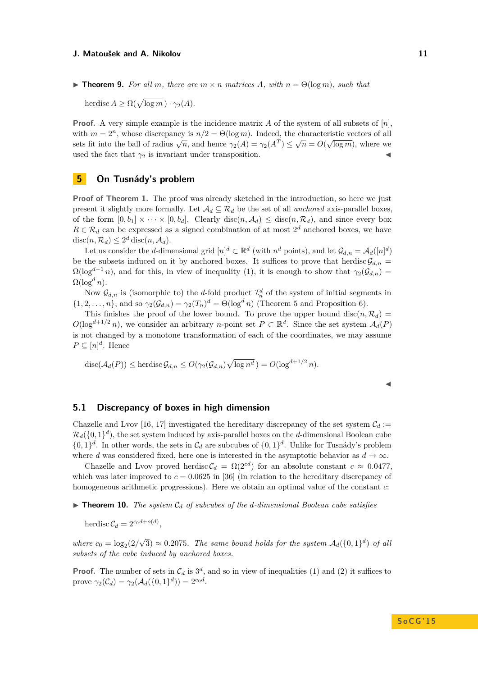$\triangleright$  **Theorem 9.** For all m, there are  $m \times n$  matrices A, with  $n = \Theta(\log m)$ , such that

herdisc  $A \ge \Omega(\sqrt{\log m}) \cdot \gamma_2(A)$ .

**Proof.** A very simple example is the incidence matrix *A* of the system of all subsets of [*n*], with  $m = 2^n$ , whose discrepancy is  $n/2 = \Theta(\log m)$ . Indeed, the characteristic vectors of all sets fit into the ball of radius  $\sqrt{n}$ , and hence  $\gamma_2(A) = \gamma_2(A^T) \leq \sqrt{n} = O(\sqrt{\log m})$ , where we used the fact that  $\gamma_2$  is invariant under transposition.

# **5 On Tusnády's problem**

**Proof of Theorem [1.](#page-4-0)** The proof was already sketched in the introduction, so here we just present it slightly more formally. Let  $\mathcal{A}_d \subseteq \mathcal{R}_d$  be the set of all *anchored* axis-parallel boxes, of the form  $[0, b_1] \times \cdots \times [0, b_d]$ . Clearly disc $(n, \mathcal{A}_d) \leq$  disc $(n, \mathcal{R}_d)$ , and since every box  $R \in \mathcal{R}_d$  can be expressed as a signed combination of at most  $2^d$  anchored boxes, we have  $\text{disc}(n, \mathcal{R}_d) \leq 2^d \text{disc}(n, \mathcal{A}_d).$ 

Let us consider the *d*-dimensional grid  $[n]^d \subset \mathbb{R}^d$  (with  $n^d$  points), and let  $\mathcal{G}_{d,n} = \mathcal{A}_d([n]^d)$ be the subsets induced on it by anchored boxes. It suffices to prove that herdisc  $\mathcal{G}_{d,n}$  =  $\Omega(\log^{d-1} n)$ , and for this, in view of inequality [\(1\)](#page-2-0), it is enough to show that  $\gamma_2(\mathcal{G}_{d,n}) =$  $\Omega(\log^d n)$ .

Now  $\mathcal{G}_{d,n}$  is (isomorphic to) the *d*-fold product  $\mathcal{I}_n^d$  of the system of initial segments in  $\{1, 2, \ldots, n\}$ , and so  $\gamma_2(\mathcal{G}_{d,n}) = \gamma_2(T_n)^d = \Theta(\log^d n)$  (Theorem [5](#page-6-1) and Proposition [6\)](#page-7-0).

This finishes the proof of the lower bound. To prove the upper bound disc $(n, \mathcal{R}_d)$  =  $O(\log^{d+1/2} n)$ , we consider an arbitrary *n*-point set  $P \subset \mathbb{R}^d$ . Since the set system  $\mathcal{A}_d(P)$ is not changed by a monotone transformation of each of the coordinates, we may assume  $P \subseteq [n]^d$ . Hence

$$
\operatorname{disc}(\mathcal{A}_d(P)) \le \operatorname{herdisc} \mathcal{G}_{d,n} \le O(\gamma_2(\mathcal{G}_{d,n}) \sqrt{\log n^d}) = O(\log^{d+1/2} n).
$$

| × | ×.<br>w<br>M. |  |  |
|---|---------------|--|--|
|   |               |  |  |

## <span id="page-10-0"></span>**5.1 Discrepancy of boxes in high dimension**

Chazelle and Lvov [\[16,](#page-13-18) [17\]](#page-13-19) investigated the hereditary discrepancy of the set system  $C_d$  :=  $\mathcal{R}_d(\{0,1\}^d)$ , the set system induced by axis-parallel boxes on the *d*-dimensional Boolean cube  $\{0,1\}^d$ . In other words, the sets in  $\mathcal{C}_d$  are subcubes of  $\{0,1\}^d$ . Unlike for Tusnády's problem where *d* was considered fixed, here one is interested in the asymptotic behavior as  $d \to \infty$ .

Chazelle and Lvov proved herdisc  $C_d = \Omega(2^{cd})$  for an absolute constant  $c \approx 0.0477$ , which was later improved to  $c = 0.0625$  in [\[36\]](#page-14-10) (in relation to the hereditary discrepancy of homogeneous arithmetic progressions). Here we obtain an optimal value of the constant *c*:

<span id="page-10-1"></span>I **Theorem 10.** *The system* C*<sup>d</sup> of subcubes of the d-dimensional Boolean cube satisfies*

herdisc  $C_d = 2^{c_0 d + o(d)}$ ,

*where*  $c_0 = \log_2(2)$ √  $\overline{3}$   $\approx 0.2075$ . The same bound holds for the system  $\mathcal{A}_d({0,1}^d)$  of all *subsets of the cube induced by anchored boxes.*

**Proof.** The number of sets in  $\mathcal{C}_d$  is  $3^d$ , and so in view of inequalities [\(1\)](#page-2-0) and [\(2\)](#page-2-1) it suffices to prove  $\gamma_2(\mathcal{C}_d) = \gamma_2(\mathcal{A}_d(\{0,1\}^d)) = 2^{c_0 d}$ .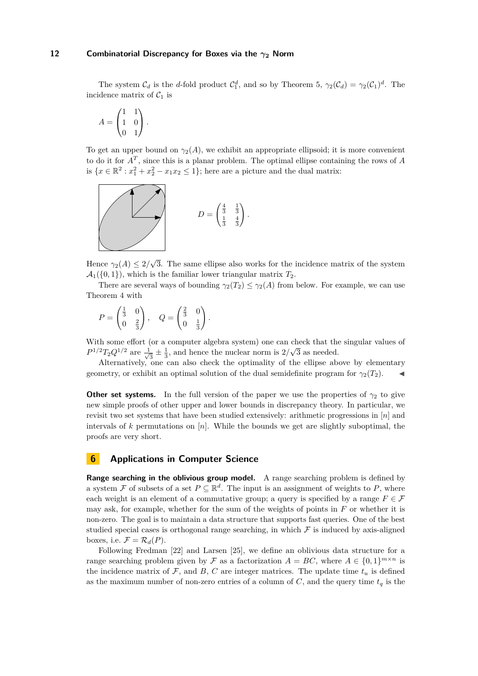The system  $C_d$  is the *d*-fold product  $C_1^d$ , and so by Theorem [5,](#page-6-1)  $\gamma_2(C_d) = \gamma_2(C_1)^d$ . The incidence matrix of  $C_1$  is

$$
A = \begin{pmatrix} 1 & 1 \\ 1 & 0 \\ 0 & 1 \end{pmatrix}.
$$

To get an upper bound on  $\gamma_2(A)$ , we exhibit an appropriate ellipsoid; it is more convenient to do it for *A<sup>T</sup>* , since this is a planar problem. The optimal ellipse containing the rows of *A* is  $\{x \in \mathbb{R}^2 : x_1^2 + x_2^2 - x_1x_2 \le 1\}$ ; here are a picture and the dual matrix:



Hence  $\gamma_2(A) \leq 2$ / √ 3. The same ellipse also works for the incidence matrix of the system  $\mathcal{A}_1(\{0,1\})$ , which is the familiar lower triangular matrix  $T_2$ .

There are several ways of bounding  $\gamma_2(T_2) \leq \gamma_2(A)$  from below. For example, we can use Theorem [4](#page-6-0) with

$$
P = \begin{pmatrix} \frac{1}{3} & 0 \\ 0 & \frac{2}{3} \end{pmatrix}, \quad Q = \begin{pmatrix} \frac{2}{3} & 0 \\ 0 & \frac{1}{3} \end{pmatrix}.
$$

With some effort (or a computer algebra system) one can check that the singular values of  $\frac{1}{2}$  $P^{1/2}T_2Q^{1/2}$  are  $\frac{1}{\sqrt{2}}$  $\frac{1}{3} \pm \frac{1}{3}$ , and hence the nuclear norm is  $2/\sqrt{3}$  as needed.

Alternatively, one can also check the optimality of the ellipse above by elementary geometry, or exhibit an optimal solution of the dual semidefinite program for  $\gamma_2(T_2)$ .

**Other set systems.** In the full version of the paper we use the properties of  $\gamma_2$  to give new simple proofs of other upper and lower bounds in discrepancy theory. In particular, we revisit two set systems that have been studied extensively: arithmetic progressions in [*n*] and intervals of  $k$  permutations on  $[n]$ . While the bounds we get are slightly suboptimal, the proofs are very short.

# **6 Applications in Computer Science**

**Range searching in the oblivious group model.** A range searching problem is defined by a system F of subsets of a set  $P \subseteq \mathbb{R}^d$ . The input is an assignment of weights to P, where each weight is an element of a commutative group; a query is specified by a range  $F \in \mathcal{F}$ may ask, for example, whether for the sum of the weights of points in *F* or whether it is non-zero. The goal is to maintain a data structure that supports fast queries. One of the best studied special cases is orthogonal range searching, in which  $\mathcal F$  is induced by axis-aligned boxes, i.e.  $\mathcal{F} = \mathcal{R}_d(P)$ .

Following Fredman [\[22\]](#page-13-22) and Larsen [\[25\]](#page-13-3), we define an oblivious data structure for a range searching problem given by F as a factorization  $A = BC$ , where  $A \in \{0,1\}^{m \times n}$  is the incidence matrix of  $\mathcal{F}$ , and  $B$ ,  $C$  are integer matrices. The update time  $t_u$  is defined as the maximum number of non-zero entries of a column of  $C$ , and the query time  $t_q$  is the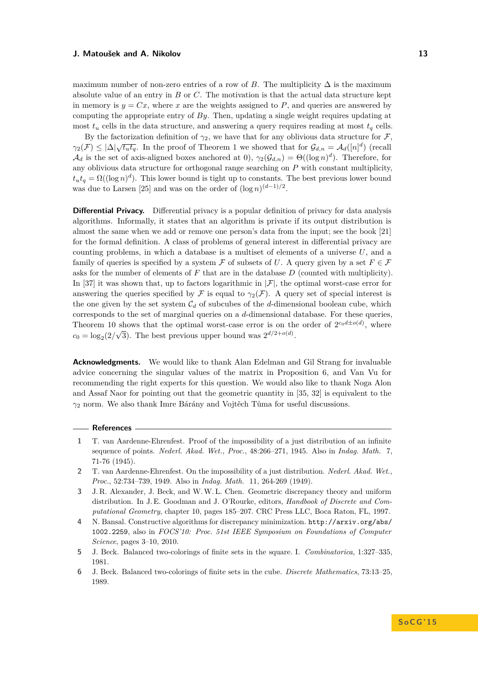maximum number of non-zero entries of a row of *B*. The multiplicity  $\Delta$  is the maximum absolute value of an entry in *B* or *C*. The motivation is that the actual data structure kept in memory is  $y = Cx$ , where x are the weights assigned to P, and queries are answered by computing the appropriate entry of *By*. Then, updating a single weight requires updating at most  $t<sub>u</sub>$  cells in the data structure, and answering a query requires reading at most  $t<sub>q</sub>$  cells.

By the factorization definition of  $\gamma_2$ , we have that for any oblivious data structure for F, *γ*<sub>2</sub>(*F*)  $\leq |\Delta|\sqrt{t_u t_q}$ . In the proof of Theorem [1](#page-4-0) we showed that for  $\mathcal{G}_{d,n} = \mathcal{A}_d([n]^d)$  (recall  $\mathcal{A}_d$  is the set of axis-aligned boxes anchored at 0),  $\gamma_2(\mathcal{G}_{d,n}) = \Theta((\log n)^d)$ . Therefore, for any oblivious data structure for orthogonal range searching on *P* with constant multiplicity,  $t_u t_q = \Omega((\log n)^d)$ . This lower bound is tight up to constants. The best previous lower bound was due to Larsen [\[25\]](#page-13-3) and was on the order of  $(\log n)^{(d-1)/2}$ .

**Differential Privacy.** Differential privacy is a popular definition of privacy for data analysis algorithms. Informally, it states that an algorithm is private if its output distribution is almost the same when we add or remove one person's data from the input; see the book [\[21\]](#page-13-23) for the formal definition. A class of problems of general interest in differential privacy are counting problems, in which a database is a multiset of elements of a universe *U*, and a family of queries is specified by a system F of subsets of U. A query given by a set  $F \in \mathcal{F}$ asks for the number of elements of *F* that are in the database *D* (counted with multiplicity). In [\[37\]](#page-14-3) it was shown that, up to factors logarithmic in  $|\mathcal{F}|$ , the optimal worst-case error for answering the queries specified by F is equal to  $\gamma_2(\mathcal{F})$ . A query set of special interest is the one given by the set system  $C_d$  of subcubes of the *d*-dimensional boolean cube, which corresponds to the set of marginal queries on a *d*-dimensional database. For these queries, Theorem [10](#page-10-1) shows that the optimal worst-case error is on the order of  $2^{c_0d \pm o(d)}$ , where  $c_0 = \log_2(2/\sqrt{3})$ . The best previous upper bound was  $2^{d/2 + o(d)}$ .

**Acknowledgments.** We would like to thank Alan Edelman and Gil Strang for invaluable advice concerning the singular values of the matrix in Proposition [6,](#page-7-0) and Van Vu for recommending the right experts for this question. We would also like to thank Noga Alon and Assaf Naor for pointing out that the geometric quantity in [\[35,](#page-14-4) [32\]](#page-14-17) is equivalent to the *γ*<sup>2</sup> norm. We also thank Imre Bárány and Vojtěch Tůma for useful discussions.

## **References**

- <span id="page-12-2"></span>**1** T. van Aardenne-Ehrenfest. Proof of the impossibility of a just distribution of an infinite sequence of points. *Nederl. Akad. Wet., Proc.*, 48:266–271, 1945. Also in *Indag. Math.* 7, 71-76 (1945).
- <span id="page-12-3"></span>**2** T. van Aardenne-Ehrenfest. On the impossibility of a just distribution. *Nederl. Akad. Wet., Proc.*, 52:734–739, 1949. Also in *Indag. Math.* 11, 264-269 (1949).
- <span id="page-12-0"></span>**3** J. R. Alexander, J. Beck, and W.W. L. Chen. Geometric discrepancy theory and uniform distribution. In J. E. Goodman and J. O'Rourke, editors, *Handbook of Discrete and Computational Geometry*, chapter 10, pages 185–207. CRC Press LLC, Boca Raton, FL, 1997.
- <span id="page-12-1"></span>**4** N. Bansal. Constructive algorithms for discrepancy minimization. [http://arxiv.org/abs/](http://arxiv.org/abs/1002.2259) [1002.2259](http://arxiv.org/abs/1002.2259), also in *FOCS'10: Proc. 51st IEEE Symposium on Foundations of Computer Science*, pages 3–10, 2010.
- <span id="page-12-4"></span>**5** J. Beck. Balanced two-colorings of finite sets in the square. I. *Combinatorica*, 1:327–335, 1981.
- <span id="page-12-5"></span>**6** J. Beck. Balanced two-colorings of finite sets in the cube. *Discrete Mathematics*, 73:13–25, 1989.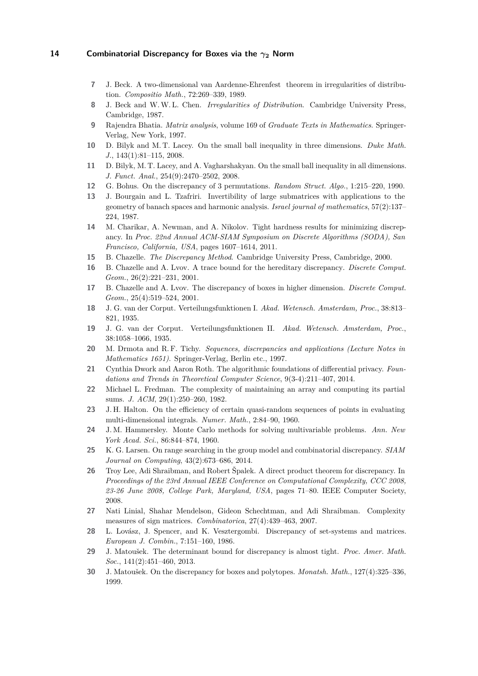- <span id="page-13-13"></span>**7** J. Beck. A two-dimensional van Aardenne-Ehrenfest theorem in irregularities of distribution. *Compositio Math.*, 72:269–339, 1989.
- <span id="page-13-0"></span>**8** J. Beck and W.W. L. Chen. *Irregularities of Distribution*. Cambridge University Press, Cambridge, 1987.
- <span id="page-13-20"></span>**9** Rajendra Bhatia. *Matrix analysis*, volume 169 of *Graduate Texts in Mathematics*. Springer-Verlag, New York, 1997.
- <span id="page-13-14"></span>**10** D. Bilyk and M. T. Lacey. On the small ball inequality in three dimensions. *Duke Math. J.*, 143(1):81–115, 2008.
- <span id="page-13-15"></span>**11** D. Bilyk, M. T. Lacey, and A. Vagharshakyan. On the small ball inequality in all dimensions. *J. Funct. Anal.*, 254(9):2470–2502, 2008.
- <span id="page-13-16"></span>**12** G. Bohus. On the discrepancy of 3 permutations. *Random Struct. Algo.*, 1:215–220, 1990.
- <span id="page-13-21"></span>**13** J. Bourgain and L. Tzafriri. Invertibility of large submatrices with applications to the geometry of banach spaces and harmonic analysis. *Israel journal of mathematics*, 57(2):137– 224, 1987.
- <span id="page-13-4"></span>**14** M. Charikar, A. Newman, and A. Nikolov. Tight hardness results for minimizing discrepancy. In *Proc. 22nd Annual ACM-SIAM Symposium on Discrete Algorithms (SODA), San Francisco, California, USA*, pages 1607–1614, 2011.
- <span id="page-13-2"></span>**15** B. Chazelle. *The Discrepancy Method*. Cambridge University Press, Cambridge, 2000.
- <span id="page-13-18"></span>**16** B. Chazelle and A. Lvov. A trace bound for the hereditary discrepancy. *Discrete Comput. Geom.*, 26(2):221–231, 2001.
- <span id="page-13-19"></span>**17** B. Chazelle and A. Lvov. The discrepancy of boxes in higher dimension. *Discrete Comput. Geom.*, 25(4):519–524, 2001.
- <span id="page-13-9"></span>**18** J. G. van der Corput. Verteilungsfunktionen I. *Akad. Wetensch. Amsterdam, Proc.*, 38:813– 821, 1935.
- <span id="page-13-10"></span>**19** J. G. van der Corput. Verteilungsfunktionen II. *Akad. Wetensch. Amsterdam, Proc.*, 38:1058–1066, 1935.
- <span id="page-13-1"></span>**20** M. Drmota and R. F. Tichy. *Sequences, discrepancies and applications (Lecture Notes in Mathematics 1651)*. Springer-Verlag, Berlin etc., 1997.
- <span id="page-13-23"></span>**21** Cynthia Dwork and Aaron Roth. The algorithmic foundations of differential privacy. *Foundations and Trends in Theoretical Computer Science*, 9(3-4):211–407, 2014.
- <span id="page-13-22"></span>**22** Michael L. Fredman. The complexity of maintaining an array and computing its partial sums. *J. ACM*, 29(1):250–260, 1982.
- <span id="page-13-12"></span>**23** J. H. Halton. On the efficiency of certain quasi-random sequences of points in evaluating multi-dimensional integrals. *Numer. Math.*, 2:84–90, 1960.
- <span id="page-13-11"></span>**24** J. M. Hammersley. Monte Carlo methods for solving multivariable problems. *Ann. New York Acad. Sci.*, 86:844–874, 1960.
- <span id="page-13-3"></span>**25** K. G. Larsen. On range searching in the group model and combinatorial discrepancy. *SIAM Journal on Computing*, 43(2):673–686, 2014.
- <span id="page-13-7"></span>**26** Troy Lee, Adi Shraibman, and Robert Špalek. A direct product theorem for discrepancy. In *Proceedings of the 23rd Annual IEEE Conference on Computational Complexity, CCC 2008, 23-26 June 2008, College Park, Maryland, USA*, pages 71–80. IEEE Computer Society, 2008.
- <span id="page-13-8"></span>**27** Nati Linial, Shahar Mendelson, Gideon Schechtman, and Adi Shraibman. Complexity measures of sign matrices. *Combinatorica*, 27(4):439–463, 2007.
- <span id="page-13-5"></span>**28** L. Lovász, J. Spencer, and K. Vesztergombi. Discrepancy of set-systems and matrices. *European J. Combin.*, 7:151–160, 1986.
- <span id="page-13-6"></span>**29** J. Matoušek. The determinant bound for discrepancy is almost tight. *Proc. Amer. Math. Soc.*, 141(2):451–460, 2013.
- <span id="page-13-17"></span>**30** J. Matoušek. On the discrepancy for boxes and polytopes. *Monatsh. Math.*, 127(4):325–336, 1999.